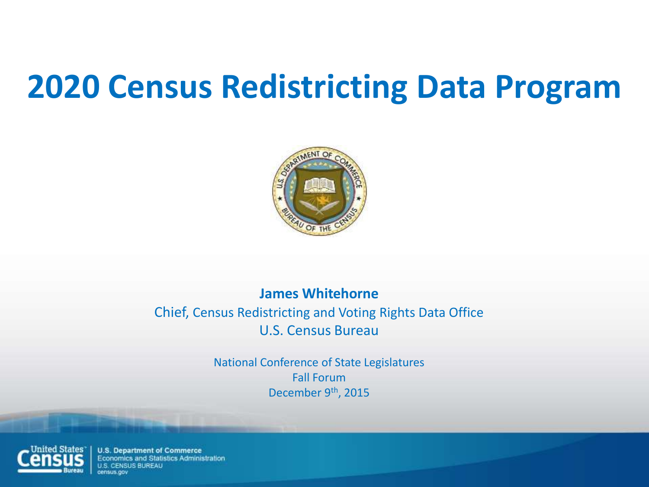

#### **James Whitehorne**

#### Chief, Census Redistricting and Voting Rights Data Office U.S. Census Bureau

National Conference of State Legislatures Fall Forum December 9<sup>th</sup>, 2015



**U.S. Department of Commerce** Economics and Statistics Administration **U.S. CENSUS BUREAU**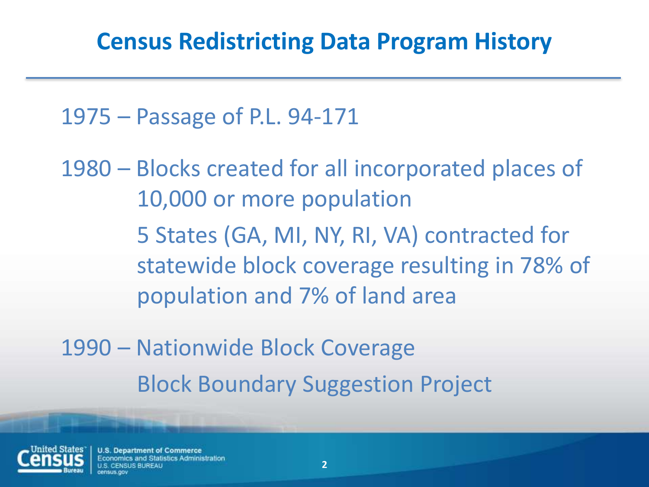1975 – Passage of P.L. 94-171

1980 – Blocks created for all incorporated places of 10,000 or more population 5 States (GA, MI, NY, RI, VA) contracted for statewide block coverage resulting in 78% of population and 7% of land area

1990 – Nationwide Block Coverage Block Boundary Suggestion Project



**U.S. Department of Commerce** omics and Statistics Administration **S BURFAU**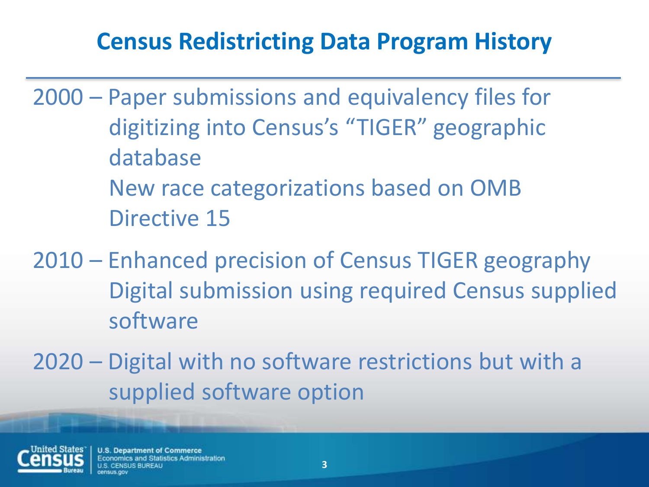## **Census Redistricting Data Program History**

- 2000 Paper submissions and equivalency files for digitizing into Census's "TIGER" geographic database New race categorizations based on OMB Directive 15
- 2010 Enhanced precision of Census TIGER geography Digital submission using required Census supplied software
- 2020 Digital with no software restrictions but with a supplied software option



**U.S. Department of Commerce** omics and Statistics Administration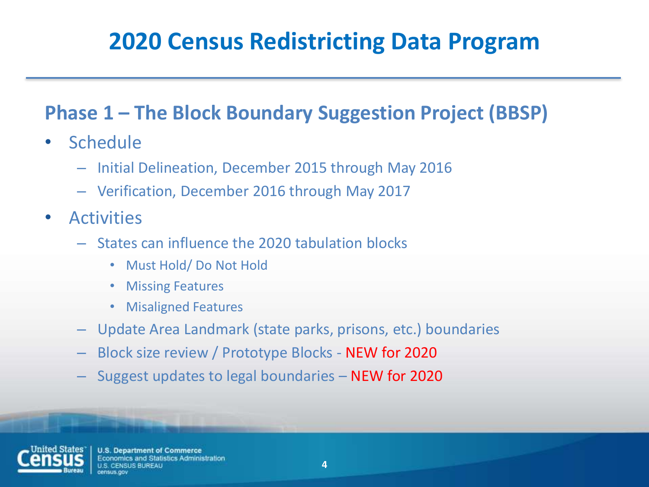#### **Phase 1 – The Block Boundary Suggestion Project (BBSP)**

- Schedule
	- Initial Delineation, December 2015 through May 2016
	- Verification, December 2016 through May 2017
- Activities
	- States can influence the 2020 tabulation blocks
		- Must Hold/ Do Not Hold
		- **Missing Features**
		- Misaligned Features
	- Update Area Landmark (state parks, prisons, etc.) boundaries
	- Block size review / Prototype Blocks NEW for 2020
	- Suggest updates to legal boundaries NEW for 2020



**U.S. Department of Commerce Economics and Statistics Administration US BURFAU**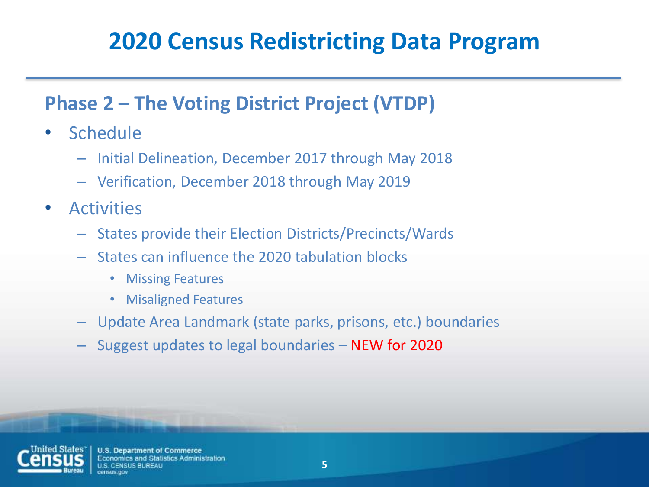#### **Phase 2 – The Voting District Project (VTDP)**

- Schedule
	- Initial Delineation, December 2017 through May 2018
	- Verification, December 2018 through May 2019
- Activities
	- States provide their Election Districts/Precincts/Wards
	- States can influence the 2020 tabulation blocks
		- Missing Features
		- Misaligned Features
	- Update Area Landmark (state parks, prisons, etc.) boundaries
	- Suggest updates to legal boundaries NEW for 2020



**U.S. Department of Commerce Economics and Statistics Administration IS BURFAU**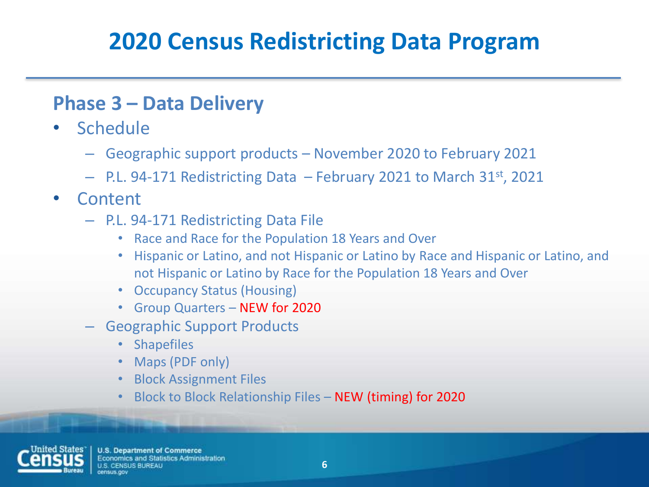#### **Phase 3 – Data Delivery**

- Schedule
	- Geographic support products November 2020 to February 2021
	- $-$  P.L. 94-171 Redistricting Data  $-$  February 2021 to March 31<sup>st</sup>, 2021
- Content
	- P.L. 94-171 Redistricting Data File
		- Race and Race for the Population 18 Years and Over
		- Hispanic or Latino, and not Hispanic or Latino by Race and Hispanic or Latino, and not Hispanic or Latino by Race for the Population 18 Years and Over
		- Occupancy Status (Housing)
		- Group Quarters NEW for 2020
	- Geographic Support Products
		- Shapefiles
		- Maps (PDF only)
		- Block Assignment Files
		- Block to Block Relationship Files NEW (timing) for 2020



**U.S. Department of Commerce** Economics and Statistics Administration NSUS BURFAU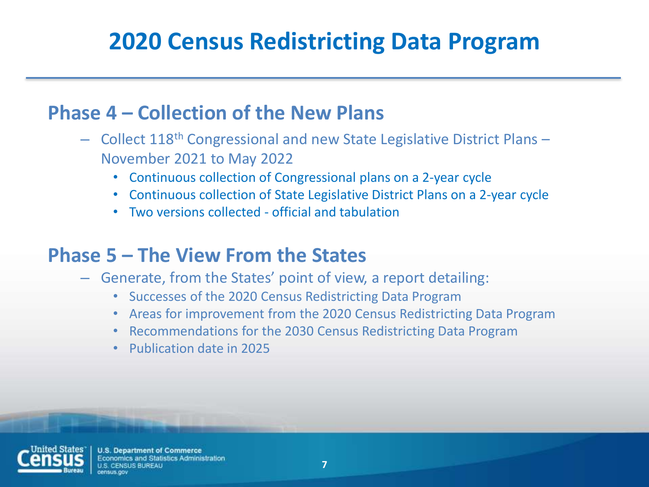#### **Phase 4 – Collection of the New Plans**

- Collect 118th Congressional and new State Legislative District Plans November 2021 to May 2022
	- Continuous collection of Congressional plans on a 2-year cycle
	- Continuous collection of State Legislative District Plans on a 2-year cycle
	- Two versions collected official and tabulation

#### **Phase 5 – The View From the States**

- Generate, from the States' point of view, a report detailing:
	- Successes of the 2020 Census Redistricting Data Program
	- Areas for improvement from the 2020 Census Redistricting Data Program
	- Recommendations for the 2030 Census Redistricting Data Program
	- Publication date in 2025



**U.S. Department of Commerce** conomics and Statistics Administration IS RURFAU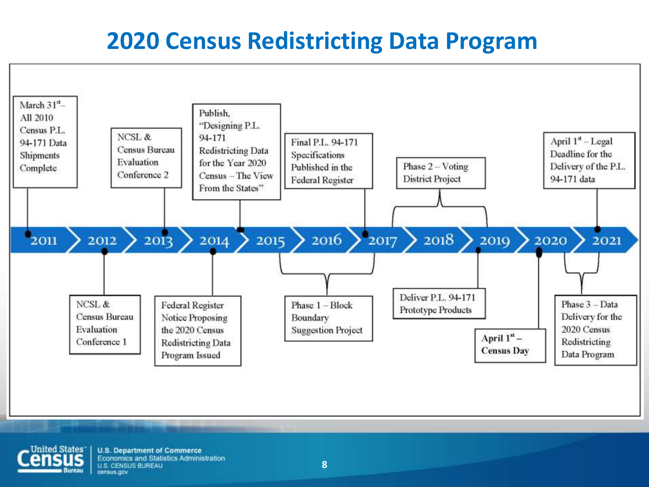

**United States** 

**U.S. Department of Commerce** Economics and Statistics Administration **U.S. CENSUS BUREAU** census.gov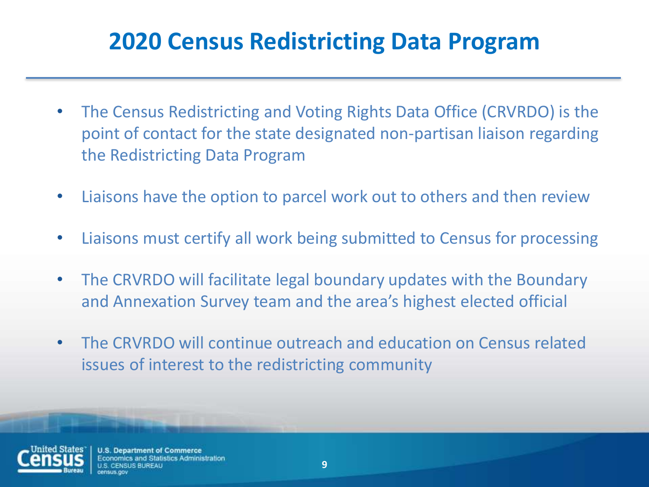- The Census Redistricting and Voting Rights Data Office (CRVRDO) is the point of contact for the state designated non-partisan liaison regarding the Redistricting Data Program
- Liaisons have the option to parcel work out to others and then review
- Liaisons must certify all work being submitted to Census for processing
- The CRVRDO will facilitate legal boundary updates with the Boundary and Annexation Survey team and the area's highest elected official
- The CRVRDO will continue outreach and education on Census related issues of interest to the redistricting community



**U.S. Department of Commerce** omics and Statistics Administration **S BURFAU**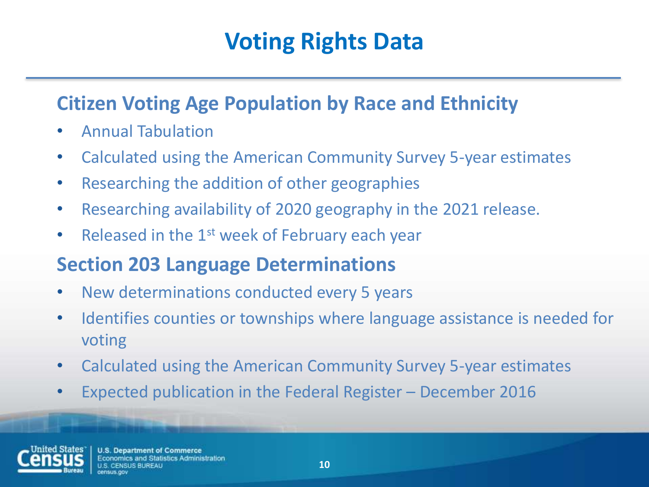# **Voting Rights Data**

#### **Citizen Voting Age Population by Race and Ethnicity**

- Annual Tabulation
- Calculated using the American Community Survey 5-year estimates
- Researching the addition of other geographies
- Researching availability of 2020 geography in the 2021 release.
- Released in the 1<sup>st</sup> week of February each year

#### **Section 203 Language Determinations**

- New determinations conducted every 5 years
- Identifies counties or townships where language assistance is needed for voting
- Calculated using the American Community Survey 5-year estimates
- Expected publication in the Federal Register December 2016